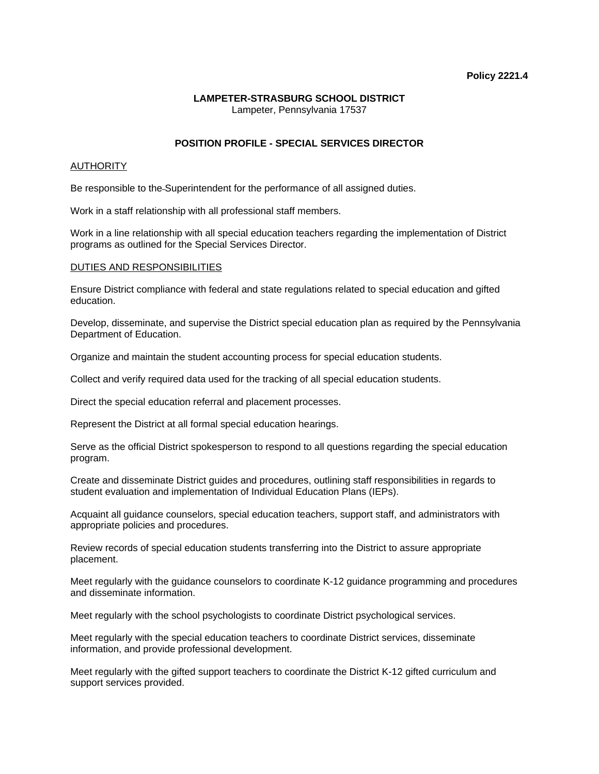# **Policy 2221.4**

### **LAMPETER-STRASBURG SCHOOL DISTRICT**  Lampeter, Pennsylvania 17537

# **POSITION PROFILE - SPECIAL SERVICES DIRECTOR**

# **AUTHORITY**

Be responsible to the Superintendent for the performance of all assigned duties.

Work in a staff relationship with all professional staff members.

Work in a line relationship with all special education teachers regarding the implementation of District programs as outlined for the Special Services Director.

### DUTIES AND RESPONSIBILITIES

Ensure District compliance with federal and state regulations related to special education and gifted education.

Develop, disseminate, and supervise the District special education plan as required by the Pennsylvania Department of Education.

Organize and maintain the student accounting process for special education students.

Collect and verify required data used for the tracking of all special education students.

Direct the special education referral and placement processes.

Represent the District at all formal special education hearings.

Serve as the official District spokesperson to respond to all questions regarding the special education program.

Create and disseminate District guides and procedures, outlining staff responsibilities in regards to student evaluation and implementation of Individual Education Plans (IEPs).

Acquaint all guidance counselors, special education teachers, support staff, and administrators with appropriate policies and procedures.

Review records of special education students transferring into the District to assure appropriate placement.

Meet regularly with the guidance counselors to coordinate K-12 guidance programming and procedures and disseminate information.

Meet regularly with the school psychologists to coordinate District psychological services.

Meet regularly with the special education teachers to coordinate District services, disseminate information, and provide professional development.

Meet regularly with the gifted support teachers to coordinate the District K-12 gifted curriculum and support services provided.